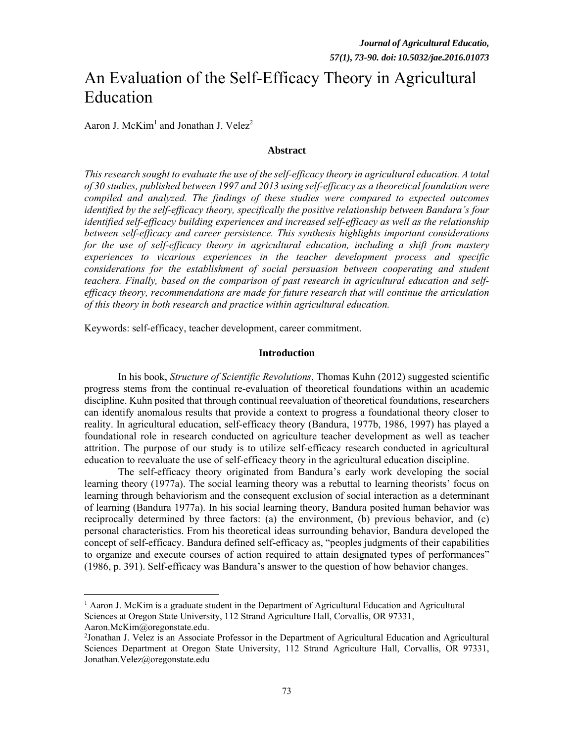# An Evaluation of the Self-Efficacy Theory in Agricultural Education

Aaron J. McKim<sup>1</sup> and Jonathan J. Velez<sup>2</sup>

#### **Abstract**

*This research sought to evaluate the use of the self-efficacy theory in agricultural education. A total of 30 studies, published between 1997 and 2013 using self-efficacy as a theoretical foundation were compiled and analyzed. The findings of these studies were compared to expected outcomes identified by the self-efficacy theory, specifically the positive relationship between Bandura's four identified self-efficacy building experiences and increased self-efficacy as well as the relationship between self-efficacy and career persistence. This synthesis highlights important considerations for the use of self-efficacy theory in agricultural education, including a shift from mastery experiences to vicarious experiences in the teacher development process and specific considerations for the establishment of social persuasion between cooperating and student teachers. Finally, based on the comparison of past research in agricultural education and selfefficacy theory, recommendations are made for future research that will continue the articulation of this theory in both research and practice within agricultural education.* 

Keywords: self-efficacy, teacher development, career commitment.

#### **Introduction**

 In his book, *Structure of Scientific Revolutions*, Thomas Kuhn (2012) suggested scientific progress stems from the continual re-evaluation of theoretical foundations within an academic discipline. Kuhn posited that through continual reevaluation of theoretical foundations, researchers can identify anomalous results that provide a context to progress a foundational theory closer to reality. In agricultural education, self-efficacy theory (Bandura, 1977b, 1986, 1997) has played a foundational role in research conducted on agriculture teacher development as well as teacher attrition. The purpose of our study is to utilize self-efficacy research conducted in agricultural education to reevaluate the use of self-efficacy theory in the agricultural education discipline.

 The self-efficacy theory originated from Bandura's early work developing the social learning theory (1977a). The social learning theory was a rebuttal to learning theorists' focus on learning through behaviorism and the consequent exclusion of social interaction as a determinant of learning (Bandura 1977a). In his social learning theory, Bandura posited human behavior was reciprocally determined by three factors: (a) the environment, (b) previous behavior, and (c) personal characteristics. From his theoretical ideas surrounding behavior, Bandura developed the concept of self-efficacy. Bandura defined self-efficacy as, "peoples judgments of their capabilities to organize and execute courses of action required to attain designated types of performances" (1986, p. 391). Self-efficacy was Bandura's answer to the question of how behavior changes.

 $\overline{a}$ 

<sup>&</sup>lt;sup>1</sup> Aaron J. McKim is a graduate student in the Department of Agricultural Education and Agricultural Sciences at Oregon State University, 112 Strand Agriculture Hall, Corvallis, OR 97331,

Aaron.McKim@oregonstate.edu.

<sup>2</sup> Jonathan J. Velez is an Associate Professor in the Department of Agricultural Education and Agricultural Sciences Department at Oregon State University, 112 Strand Agriculture Hall, Corvallis, OR 97331, Jonathan.Velez@oregonstate.edu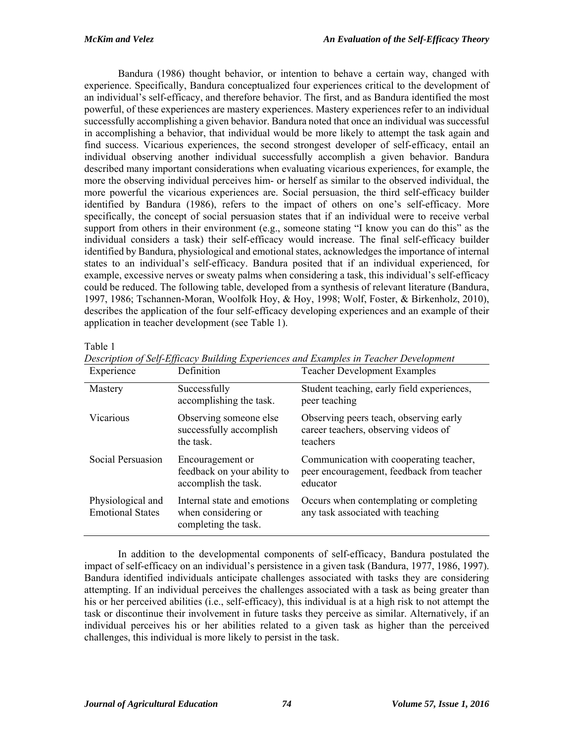Bandura (1986) thought behavior, or intention to behave a certain way, changed with experience. Specifically, Bandura conceptualized four experiences critical to the development of an individual's self-efficacy, and therefore behavior. The first, and as Bandura identified the most powerful, of these experiences are mastery experiences. Mastery experiences refer to an individual successfully accomplishing a given behavior. Bandura noted that once an individual was successful in accomplishing a behavior, that individual would be more likely to attempt the task again and find success. Vicarious experiences, the second strongest developer of self-efficacy, entail an individual observing another individual successfully accomplish a given behavior. Bandura described many important considerations when evaluating vicarious experiences, for example, the more the observing individual perceives him- or herself as similar to the observed individual, the more powerful the vicarious experiences are. Social persuasion, the third self-efficacy builder identified by Bandura (1986), refers to the impact of others on one's self-efficacy. More specifically, the concept of social persuasion states that if an individual were to receive verbal support from others in their environment (e.g., someone stating "I know you can do this" as the individual considers a task) their self-efficacy would increase. The final self-efficacy builder identified by Bandura, physiological and emotional states, acknowledges the importance of internal states to an individual's self-efficacy. Bandura posited that if an individual experienced, for example, excessive nerves or sweaty palms when considering a task, this individual's self-efficacy could be reduced. The following table, developed from a synthesis of relevant literature (Bandura, 1997, 1986; Tschannen-Moran, Woolfolk Hoy, & Hoy, 1998; Wolf, Foster, & Birkenholz, 2010), describes the application of the four self-efficacy developing experiences and an example of their application in teacher development (see Table 1).

## Table 1

| Experience                                   | Definition                                                                 | <b>Teacher Development Examples</b>                                                              |
|----------------------------------------------|----------------------------------------------------------------------------|--------------------------------------------------------------------------------------------------|
| Mastery                                      | Successfully<br>accomplishing the task.                                    | Student teaching, early field experiences,<br>peer teaching                                      |
| Vicarious                                    | Observing someone else<br>successfully accomplish<br>the task              | Observing peers teach, observing early<br>career teachers, observing videos of<br>teachers       |
| Social Persuasion                            | Encouragement or<br>feedback on your ability to<br>accomplish the task.    | Communication with cooperating teacher,<br>peer encouragement, feedback from teacher<br>educator |
| Physiological and<br><b>Emotional States</b> | Internal state and emotions<br>when considering or<br>completing the task. | Occurs when contemplating or completing<br>any task associated with teaching                     |

*Description of Self-Efficacy Building Experiences and Examples in Teacher Development* 

In addition to the developmental components of self-efficacy, Bandura postulated the impact of self-efficacy on an individual's persistence in a given task (Bandura, 1977, 1986, 1997). Bandura identified individuals anticipate challenges associated with tasks they are considering attempting. If an individual perceives the challenges associated with a task as being greater than his or her perceived abilities (i.e., self-efficacy), this individual is at a high risk to not attempt the task or discontinue their involvement in future tasks they perceive as similar. Alternatively, if an individual perceives his or her abilities related to a given task as higher than the perceived challenges, this individual is more likely to persist in the task.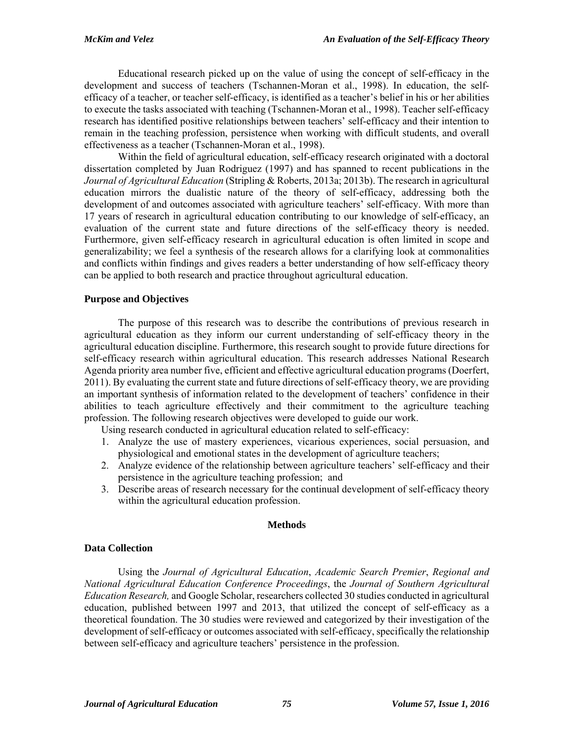Educational research picked up on the value of using the concept of self-efficacy in the development and success of teachers (Tschannen-Moran et al., 1998). In education, the selfefficacy of a teacher, or teacher self-efficacy, is identified as a teacher's belief in his or her abilities to execute the tasks associated with teaching (Tschannen-Moran et al., 1998). Teacher self-efficacy research has identified positive relationships between teachers' self-efficacy and their intention to remain in the teaching profession, persistence when working with difficult students, and overall effectiveness as a teacher (Tschannen-Moran et al., 1998).

 Within the field of agricultural education, self-efficacy research originated with a doctoral dissertation completed by Juan Rodriguez (1997) and has spanned to recent publications in the *Journal of Agricultural Education* (Stripling & Roberts, 2013a; 2013b). The research in agricultural education mirrors the dualistic nature of the theory of self-efficacy, addressing both the development of and outcomes associated with agriculture teachers' self-efficacy. With more than 17 years of research in agricultural education contributing to our knowledge of self-efficacy, an evaluation of the current state and future directions of the self-efficacy theory is needed. Furthermore, given self-efficacy research in agricultural education is often limited in scope and generalizability; we feel a synthesis of the research allows for a clarifying look at commonalities and conflicts within findings and gives readers a better understanding of how self-efficacy theory can be applied to both research and practice throughout agricultural education.

# **Purpose and Objectives**

 The purpose of this research was to describe the contributions of previous research in agricultural education as they inform our current understanding of self-efficacy theory in the agricultural education discipline. Furthermore, this research sought to provide future directions for self-efficacy research within agricultural education. This research addresses National Research Agenda priority area number five, efficient and effective agricultural education programs (Doerfert, 2011). By evaluating the current state and future directions of self-efficacy theory, we are providing an important synthesis of information related to the development of teachers' confidence in their abilities to teach agriculture effectively and their commitment to the agriculture teaching profession. The following research objectives were developed to guide our work.

Using research conducted in agricultural education related to self-efficacy:

- 1. Analyze the use of mastery experiences, vicarious experiences, social persuasion, and physiological and emotional states in the development of agriculture teachers;
- 2. Analyze evidence of the relationship between agriculture teachers' self-efficacy and their persistence in the agriculture teaching profession; and
- 3. Describe areas of research necessary for the continual development of self-efficacy theory within the agricultural education profession.

## **Methods**

# **Data Collection**

 Using the *Journal of Agricultural Education*, *Academic Search Premier*, *Regional and National Agricultural Education Conference Proceedings*, the *Journal of Southern Agricultural Education Research,* and Google Scholar, researchers collected 30 studies conducted in agricultural education, published between 1997 and 2013, that utilized the concept of self-efficacy as a theoretical foundation. The 30 studies were reviewed and categorized by their investigation of the development of self-efficacy or outcomes associated with self-efficacy, specifically the relationship between self-efficacy and agriculture teachers' persistence in the profession.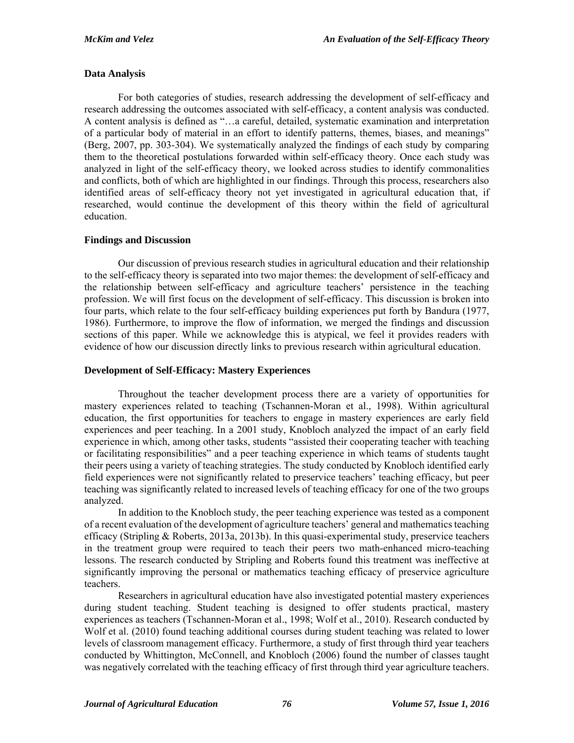## **Data Analysis**

 For both categories of studies, research addressing the development of self-efficacy and research addressing the outcomes associated with self-efficacy, a content analysis was conducted. A content analysis is defined as "…a careful, detailed, systematic examination and interpretation of a particular body of material in an effort to identify patterns, themes, biases, and meanings" (Berg, 2007, pp. 303-304). We systematically analyzed the findings of each study by comparing them to the theoretical postulations forwarded within self-efficacy theory. Once each study was analyzed in light of the self-efficacy theory, we looked across studies to identify commonalities and conflicts, both of which are highlighted in our findings. Through this process, researchers also identified areas of self-efficacy theory not yet investigated in agricultural education that, if researched, would continue the development of this theory within the field of agricultural education.

## **Findings and Discussion**

 Our discussion of previous research studies in agricultural education and their relationship to the self-efficacy theory is separated into two major themes: the development of self-efficacy and the relationship between self-efficacy and agriculture teachers' persistence in the teaching profession. We will first focus on the development of self-efficacy. This discussion is broken into four parts, which relate to the four self-efficacy building experiences put forth by Bandura (1977, 1986). Furthermore, to improve the flow of information, we merged the findings and discussion sections of this paper. While we acknowledge this is atypical, we feel it provides readers with evidence of how our discussion directly links to previous research within agricultural education.

#### **Development of Self-Efficacy: Mastery Experiences**

 Throughout the teacher development process there are a variety of opportunities for mastery experiences related to teaching (Tschannen-Moran et al., 1998). Within agricultural education, the first opportunities for teachers to engage in mastery experiences are early field experiences and peer teaching. In a 2001 study, Knobloch analyzed the impact of an early field experience in which, among other tasks, students "assisted their cooperating teacher with teaching or facilitating responsibilities" and a peer teaching experience in which teams of students taught their peers using a variety of teaching strategies. The study conducted by Knobloch identified early field experiences were not significantly related to preservice teachers' teaching efficacy, but peer teaching was significantly related to increased levels of teaching efficacy for one of the two groups analyzed.

 In addition to the Knobloch study, the peer teaching experience was tested as a component of a recent evaluation of the development of agriculture teachers' general and mathematics teaching efficacy (Stripling & Roberts, 2013a, 2013b). In this quasi-experimental study, preservice teachers in the treatment group were required to teach their peers two math-enhanced micro-teaching lessons. The research conducted by Stripling and Roberts found this treatment was ineffective at significantly improving the personal or mathematics teaching efficacy of preservice agriculture teachers.

 Researchers in agricultural education have also investigated potential mastery experiences during student teaching. Student teaching is designed to offer students practical, mastery experiences as teachers (Tschannen-Moran et al., 1998; Wolf et al., 2010). Research conducted by Wolf et al. (2010) found teaching additional courses during student teaching was related to lower levels of classroom management efficacy. Furthermore, a study of first through third year teachers conducted by Whittington, McConnell, and Knobloch (2006) found the number of classes taught was negatively correlated with the teaching efficacy of first through third year agriculture teachers.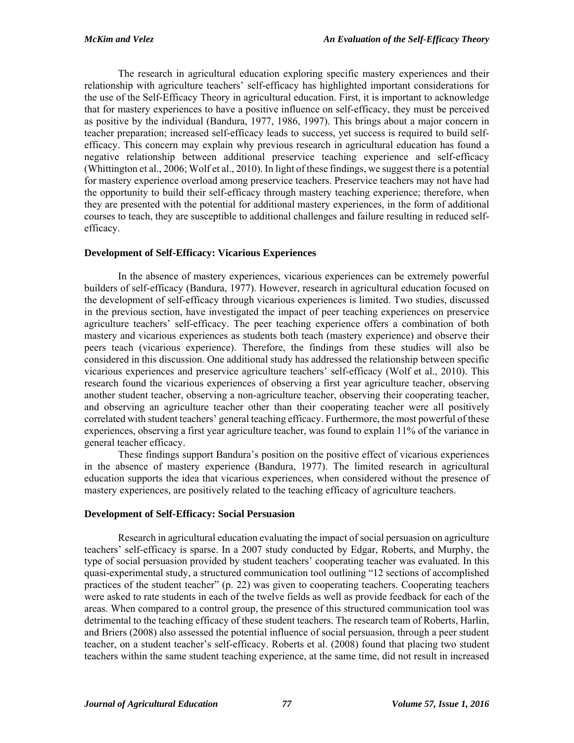The research in agricultural education exploring specific mastery experiences and their relationship with agriculture teachers' self-efficacy has highlighted important considerations for the use of the Self-Efficacy Theory in agricultural education. First, it is important to acknowledge that for mastery experiences to have a positive influence on self-efficacy, they must be perceived as positive by the individual (Bandura, 1977, 1986, 1997). This brings about a major concern in teacher preparation; increased self-efficacy leads to success, yet success is required to build selfefficacy. This concern may explain why previous research in agricultural education has found a negative relationship between additional preservice teaching experience and self-efficacy (Whittington et al., 2006; Wolf et al., 2010). In light of these findings, we suggest there is a potential for mastery experience overload among preservice teachers. Preservice teachers may not have had the opportunity to build their self-efficacy through mastery teaching experience; therefore, when they are presented with the potential for additional mastery experiences, in the form of additional courses to teach, they are susceptible to additional challenges and failure resulting in reduced selfefficacy.

## **Development of Self-Efficacy: Vicarious Experiences**

 In the absence of mastery experiences, vicarious experiences can be extremely powerful builders of self-efficacy (Bandura, 1977). However, research in agricultural education focused on the development of self-efficacy through vicarious experiences is limited. Two studies, discussed in the previous section, have investigated the impact of peer teaching experiences on preservice agriculture teachers' self-efficacy. The peer teaching experience offers a combination of both mastery and vicarious experiences as students both teach (mastery experience) and observe their peers teach (vicarious experience). Therefore, the findings from these studies will also be considered in this discussion. One additional study has addressed the relationship between specific vicarious experiences and preservice agriculture teachers' self-efficacy (Wolf et al., 2010). This research found the vicarious experiences of observing a first year agriculture teacher, observing another student teacher, observing a non-agriculture teacher, observing their cooperating teacher, and observing an agriculture teacher other than their cooperating teacher were all positively correlated with student teachers' general teaching efficacy. Furthermore, the most powerful of these experiences, observing a first year agriculture teacher, was found to explain 11% of the variance in general teacher efficacy.

 These findings support Bandura's position on the positive effect of vicarious experiences in the absence of mastery experience (Bandura, 1977). The limited research in agricultural education supports the idea that vicarious experiences, when considered without the presence of mastery experiences, are positively related to the teaching efficacy of agriculture teachers.

# **Development of Self-Efficacy: Social Persuasion**

 Research in agricultural education evaluating the impact of social persuasion on agriculture teachers' self-efficacy is sparse. In a 2007 study conducted by Edgar, Roberts, and Murphy, the type of social persuasion provided by student teachers' cooperating teacher was evaluated. In this quasi-experimental study, a structured communication tool outlining "12 sections of accomplished practices of the student teacher" (p. 22) was given to cooperating teachers. Cooperating teachers were asked to rate students in each of the twelve fields as well as provide feedback for each of the areas. When compared to a control group, the presence of this structured communication tool was detrimental to the teaching efficacy of these student teachers. The research team of Roberts, Harlin, and Briers (2008) also assessed the potential influence of social persuasion, through a peer student teacher, on a student teacher's self-efficacy. Roberts et al. (2008) found that placing two student teachers within the same student teaching experience, at the same time, did not result in increased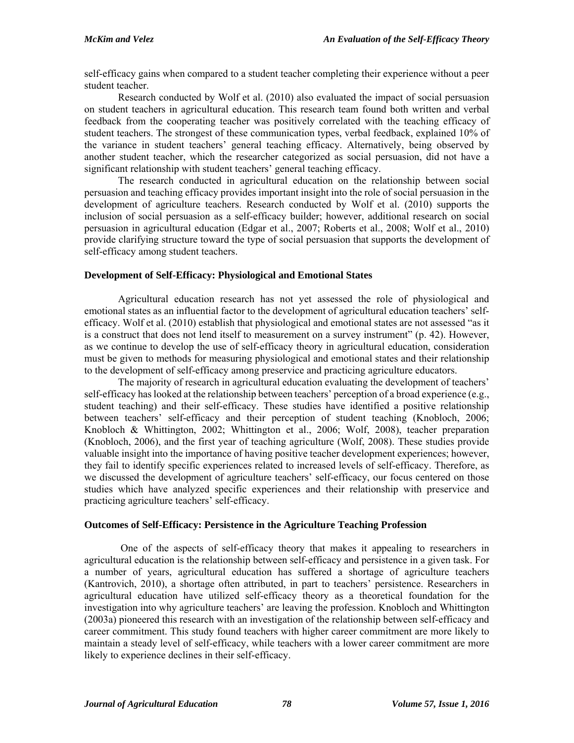self-efficacy gains when compared to a student teacher completing their experience without a peer student teacher.

 Research conducted by Wolf et al. (2010) also evaluated the impact of social persuasion on student teachers in agricultural education. This research team found both written and verbal feedback from the cooperating teacher was positively correlated with the teaching efficacy of student teachers. The strongest of these communication types, verbal feedback, explained 10% of the variance in student teachers' general teaching efficacy. Alternatively, being observed by another student teacher, which the researcher categorized as social persuasion, did not have a significant relationship with student teachers' general teaching efficacy.

 The research conducted in agricultural education on the relationship between social persuasion and teaching efficacy provides important insight into the role of social persuasion in the development of agriculture teachers. Research conducted by Wolf et al. (2010) supports the inclusion of social persuasion as a self-efficacy builder; however, additional research on social persuasion in agricultural education (Edgar et al., 2007; Roberts et al., 2008; Wolf et al., 2010) provide clarifying structure toward the type of social persuasion that supports the development of self-efficacy among student teachers.

## **Development of Self-Efficacy: Physiological and Emotional States**

 Agricultural education research has not yet assessed the role of physiological and emotional states as an influential factor to the development of agricultural education teachers' selfefficacy. Wolf et al. (2010) establish that physiological and emotional states are not assessed "as it is a construct that does not lend itself to measurement on a survey instrument" (p. 42). However, as we continue to develop the use of self-efficacy theory in agricultural education, consideration must be given to methods for measuring physiological and emotional states and their relationship to the development of self-efficacy among preservice and practicing agriculture educators.

 The majority of research in agricultural education evaluating the development of teachers' self-efficacy has looked at the relationship between teachers' perception of a broad experience (e.g., student teaching) and their self-efficacy. These studies have identified a positive relationship between teachers' self-efficacy and their perception of student teaching (Knobloch, 2006; Knobloch & Whittington, 2002; Whittington et al., 2006; Wolf, 2008), teacher preparation (Knobloch, 2006), and the first year of teaching agriculture (Wolf, 2008). These studies provide valuable insight into the importance of having positive teacher development experiences; however, they fail to identify specific experiences related to increased levels of self-efficacy. Therefore, as we discussed the development of agriculture teachers' self-efficacy, our focus centered on those studies which have analyzed specific experiences and their relationship with preservice and practicing agriculture teachers' self-efficacy.

# **Outcomes of Self-Efficacy: Persistence in the Agriculture Teaching Profession**

 One of the aspects of self-efficacy theory that makes it appealing to researchers in agricultural education is the relationship between self-efficacy and persistence in a given task. For a number of years, agricultural education has suffered a shortage of agriculture teachers (Kantrovich, 2010), a shortage often attributed, in part to teachers' persistence. Researchers in agricultural education have utilized self-efficacy theory as a theoretical foundation for the investigation into why agriculture teachers' are leaving the profession. Knobloch and Whittington (2003a) pioneered this research with an investigation of the relationship between self-efficacy and career commitment. This study found teachers with higher career commitment are more likely to maintain a steady level of self-efficacy, while teachers with a lower career commitment are more likely to experience declines in their self-efficacy.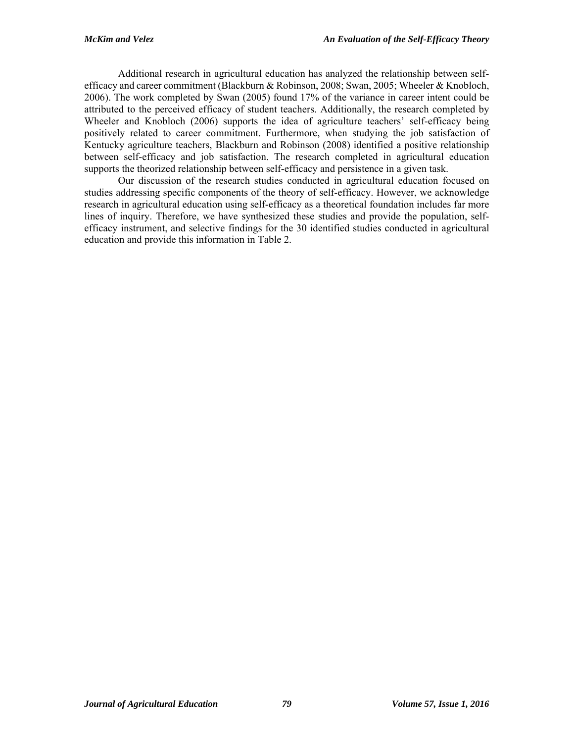Additional research in agricultural education has analyzed the relationship between selfefficacy and career commitment (Blackburn & Robinson, 2008; Swan, 2005; Wheeler & Knobloch, 2006). The work completed by Swan (2005) found 17% of the variance in career intent could be attributed to the perceived efficacy of student teachers. Additionally, the research completed by Wheeler and Knobloch (2006) supports the idea of agriculture teachers' self-efficacy being positively related to career commitment. Furthermore, when studying the job satisfaction of Kentucky agriculture teachers, Blackburn and Robinson (2008) identified a positive relationship between self-efficacy and job satisfaction. The research completed in agricultural education supports the theorized relationship between self-efficacy and persistence in a given task.

 Our discussion of the research studies conducted in agricultural education focused on studies addressing specific components of the theory of self-efficacy. However, we acknowledge research in agricultural education using self-efficacy as a theoretical foundation includes far more lines of inquiry. Therefore, we have synthesized these studies and provide the population, selfefficacy instrument, and selective findings for the 30 identified studies conducted in agricultural education and provide this information in Table 2.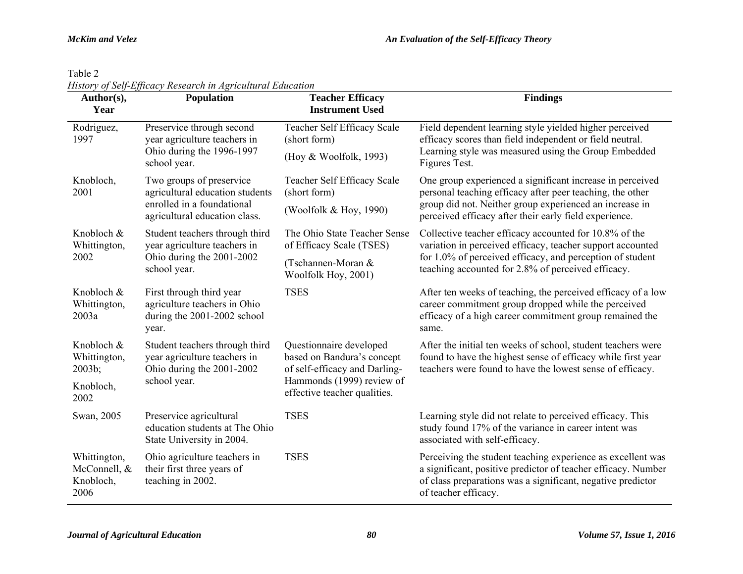| anie |  |
|------|--|
|------|--|

*History of Self-Efficacy Research in Agricultural Education* 

| Author(s),<br>Year                                | <b>Population</b>                                                                                | <b>Teacher Efficacy</b><br><b>Instrument Used</b>                                      | <b>Findings</b>                                                                                                                                                                                                     |  |
|---------------------------------------------------|--------------------------------------------------------------------------------------------------|----------------------------------------------------------------------------------------|---------------------------------------------------------------------------------------------------------------------------------------------------------------------------------------------------------------------|--|
| Rodriguez,<br>1997                                | Preservice through second<br>year agriculture teachers in                                        | Teacher Self Efficacy Scale<br>(short form)                                            | Field dependent learning style yielded higher perceived<br>efficacy scores than field independent or field neutral.                                                                                                 |  |
|                                                   | Ohio during the 1996-1997<br>school year.                                                        | (Hoy & Woolfolk, 1993)                                                                 | Learning style was measured using the Group Embedded<br>Figures Test.                                                                                                                                               |  |
| Knobloch,<br>2001                                 | Two groups of preservice<br>agricultural education students                                      | Teacher Self Efficacy Scale<br>(short form)                                            | One group experienced a significant increase in perceived<br>personal teaching efficacy after peer teaching, the other                                                                                              |  |
|                                                   | enrolled in a foundational<br>agricultural education class.                                      | (Woolfolk & Hoy, 1990)                                                                 | group did not. Neither group experienced an increase in<br>perceived efficacy after their early field experience.                                                                                                   |  |
| Knobloch &<br>Whittington,                        | Student teachers through third<br>year agriculture teachers in                                   | The Ohio State Teacher Sense<br>of Efficacy Scale (TSES)                               | Collective teacher efficacy accounted for 10.8% of the<br>variation in perceived efficacy, teacher support accounted                                                                                                |  |
| 2002                                              | Ohio during the 2001-2002<br>school year.                                                        | (Tschannen-Moran &<br>Woolfolk Hoy, 2001)                                              | for 1.0% of perceived efficacy, and perception of student<br>teaching accounted for 2.8% of perceived efficacy.                                                                                                     |  |
| Knobloch &<br>Whittington,<br>2003a               | First through third year<br>agriculture teachers in Ohio<br>during the 2001-2002 school<br>year. | <b>TSES</b>                                                                            | After ten weeks of teaching, the perceived efficacy of a low<br>career commitment group dropped while the perceived<br>efficacy of a high career commitment group remained the<br>same.                             |  |
| Knobloch &<br>Whittington,<br>2003b;              | Student teachers through third<br>year agriculture teachers in<br>Ohio during the 2001-2002      | Questionnaire developed<br>based on Bandura's concept<br>of self-efficacy and Darling- | After the initial ten weeks of school, student teachers were<br>found to have the highest sense of efficacy while first year<br>teachers were found to have the lowest sense of efficacy.                           |  |
| Knobloch,<br>2002                                 | school year.                                                                                     | Hammonds (1999) review of<br>effective teacher qualities.                              |                                                                                                                                                                                                                     |  |
| Swan, 2005                                        | Preservice agricultural<br>education students at The Ohio<br>State University in 2004.           | <b>TSES</b>                                                                            | Learning style did not relate to perceived efficacy. This<br>study found 17% of the variance in career intent was<br>associated with self-efficacy.                                                                 |  |
| Whittington,<br>McConnell, &<br>Knobloch,<br>2006 | Ohio agriculture teachers in<br>their first three years of<br>teaching in 2002.                  | <b>TSES</b>                                                                            | Perceiving the student teaching experience as excellent was<br>a significant, positive predictor of teacher efficacy. Number<br>of class preparations was a significant, negative predictor<br>of teacher efficacy. |  |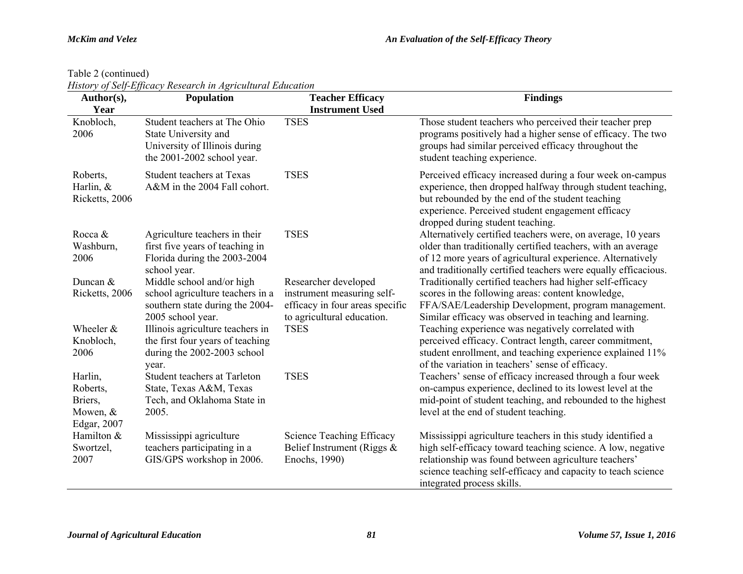Table 2 (continued)

*History of Self-Efficacy Research in Agricultural Education* 

| Author(s),                              | Population                                                                                                          | <b>Teacher Efficacy</b>                                                                     | <b>Findings</b>                                                                                                                                                                                                                                                      |
|-----------------------------------------|---------------------------------------------------------------------------------------------------------------------|---------------------------------------------------------------------------------------------|----------------------------------------------------------------------------------------------------------------------------------------------------------------------------------------------------------------------------------------------------------------------|
| Year                                    |                                                                                                                     | <b>Instrument Used</b>                                                                      |                                                                                                                                                                                                                                                                      |
| Knobloch,<br>2006                       | Student teachers at The Ohio<br>State University and<br>University of Illinois during<br>the 2001-2002 school year. | <b>TSES</b>                                                                                 | Those student teachers who perceived their teacher prep<br>programs positively had a higher sense of efficacy. The two<br>groups had similar perceived efficacy throughout the<br>student teaching experience.                                                       |
| Roberts,<br>Harlin, &<br>Ricketts, 2006 | <b>Student teachers at Texas</b><br>A&M in the 2004 Fall cohort.                                                    | <b>TSES</b>                                                                                 | Perceived efficacy increased during a four week on-campus<br>experience, then dropped halfway through student teaching,<br>but rebounded by the end of the student teaching<br>experience. Perceived student engagement efficacy<br>dropped during student teaching. |
| Rocca &                                 | Agriculture teachers in their                                                                                       | <b>TSES</b>                                                                                 | Alternatively certified teachers were, on average, 10 years                                                                                                                                                                                                          |
| Washburn,                               | first five years of teaching in                                                                                     |                                                                                             | older than traditionally certified teachers, with an average                                                                                                                                                                                                         |
| 2006                                    | Florida during the 2003-2004<br>school year.                                                                        |                                                                                             | of 12 more years of agricultural experience. Alternatively<br>and traditionally certified teachers were equally efficacious.                                                                                                                                         |
| Duncan &                                | Middle school and/or high                                                                                           | Researcher developed                                                                        | Traditionally certified teachers had higher self-efficacy                                                                                                                                                                                                            |
| Ricketts, 2006                          | school agriculture teachers in a<br>southern state during the 2004-<br>2005 school year.                            | instrument measuring self-<br>efficacy in four areas specific<br>to agricultural education. | scores in the following areas: content knowledge,<br>FFA/SAE/Leadership Development, program management.<br>Similar efficacy was observed in teaching and learning.                                                                                                  |
| Wheeler &                               | Illinois agriculture teachers in                                                                                    | <b>TSES</b>                                                                                 | Teaching experience was negatively correlated with                                                                                                                                                                                                                   |
| Knobloch,<br>2006                       | the first four years of teaching<br>during the 2002-2003 school<br>year.                                            |                                                                                             | perceived efficacy. Contract length, career commitment,<br>student enrollment, and teaching experience explained 11%<br>of the variation in teachers' sense of efficacy.                                                                                             |
| Harlin,                                 | Student teachers at Tarleton                                                                                        | <b>TSES</b>                                                                                 | Teachers' sense of efficacy increased through a four week                                                                                                                                                                                                            |
| Roberts,                                | State, Texas A&M, Texas                                                                                             |                                                                                             | on-campus experience, declined to its lowest level at the                                                                                                                                                                                                            |
| Briers,                                 | Tech, and Oklahoma State in                                                                                         |                                                                                             | mid-point of student teaching, and rebounded to the highest                                                                                                                                                                                                          |
| Mowen, &                                | 2005.                                                                                                               |                                                                                             | level at the end of student teaching.                                                                                                                                                                                                                                |
| Edgar, 2007                             |                                                                                                                     |                                                                                             |                                                                                                                                                                                                                                                                      |
| Hamilton &                              | Mississippi agriculture                                                                                             | Science Teaching Efficacy                                                                   | Mississippi agriculture teachers in this study identified a                                                                                                                                                                                                          |
| Swortzel,                               | teachers participating in a                                                                                         | Belief Instrument (Riggs $\&$                                                               | high self-efficacy toward teaching science. A low, negative                                                                                                                                                                                                          |
| 2007                                    | GIS/GPS workshop in 2006.                                                                                           | Enochs, 1990)                                                                               | relationship was found between agriculture teachers'<br>science teaching self-efficacy and capacity to teach science<br>integrated process skills.                                                                                                                   |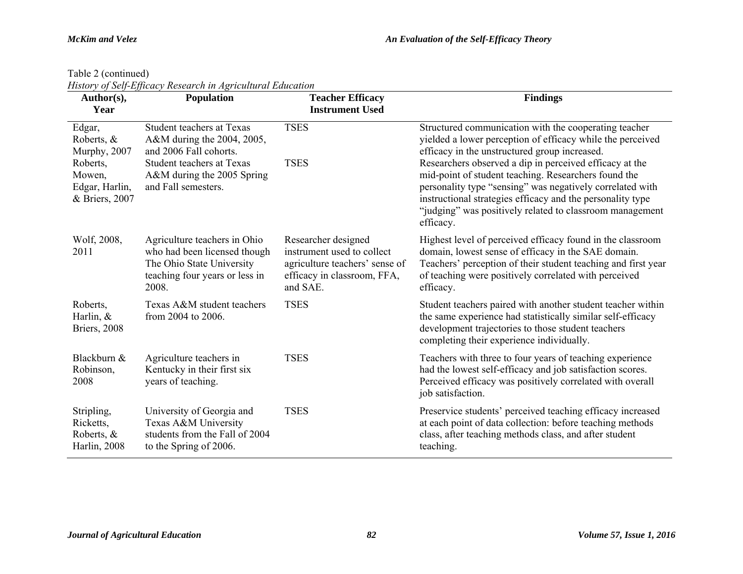Table 2 (continued)

|  |  | History of Self-Efficacy Research in Agricultural Education |  |
|--|--|-------------------------------------------------------------|--|

| Author(s),<br>Year                                    | History of Belf Efficiely Research in Agricultural Eulication<br><b>Population</b>                                                   | <b>Teacher Efficacy</b><br><b>Instrument Used</b>                                                                              | <b>Findings</b>                                                                                                                                                                                                                                          |
|-------------------------------------------------------|--------------------------------------------------------------------------------------------------------------------------------------|--------------------------------------------------------------------------------------------------------------------------------|----------------------------------------------------------------------------------------------------------------------------------------------------------------------------------------------------------------------------------------------------------|
| Edgar,<br>Roberts, &<br>Murphy, 2007<br>Roberts,      | <b>Student teachers at Texas</b><br>A&M during the 2004, 2005,<br>and 2006 Fall cohorts.<br><b>Student teachers at Texas</b>         | <b>TSES</b><br><b>TSES</b>                                                                                                     | Structured communication with the cooperating teacher<br>yielded a lower perception of efficacy while the perceived<br>efficacy in the unstructured group increased.<br>Researchers observed a dip in perceived efficacy at the                          |
| Mowen,<br>Edgar, Harlin,<br>& Briers, 2007            | A&M during the 2005 Spring<br>and Fall semesters.                                                                                    |                                                                                                                                | mid-point of student teaching. Researchers found the<br>personality type "sensing" was negatively correlated with<br>instructional strategies efficacy and the personality type<br>"judging" was positively related to classroom management<br>efficacy. |
| Wolf, 2008,<br>2011                                   | Agriculture teachers in Ohio<br>who had been licensed though<br>The Ohio State University<br>teaching four years or less in<br>2008. | Researcher designed<br>instrument used to collect<br>agriculture teachers' sense of<br>efficacy in classroom, FFA,<br>and SAE. | Highest level of perceived efficacy found in the classroom<br>domain, lowest sense of efficacy in the SAE domain.<br>Teachers' perception of their student teaching and first year<br>of teaching were positively correlated with perceived<br>efficacy. |
| Roberts,<br>Harlin, $&$<br>Briers, 2008               | Texas A&M student teachers<br>from 2004 to 2006.                                                                                     | <b>TSES</b>                                                                                                                    | Student teachers paired with another student teacher within<br>the same experience had statistically similar self-efficacy<br>development trajectories to those student teachers<br>completing their experience individually.                            |
| Blackburn &<br>Robinson,<br>2008                      | Agriculture teachers in<br>Kentucky in their first six<br>years of teaching.                                                         | <b>TSES</b>                                                                                                                    | Teachers with three to four years of teaching experience<br>had the lowest self-efficacy and job satisfaction scores.<br>Perceived efficacy was positively correlated with overall<br>job satisfaction.                                                  |
| Stripling,<br>Ricketts,<br>Roberts, &<br>Harlin, 2008 | University of Georgia and<br>Texas A&M University<br>students from the Fall of 2004<br>to the Spring of 2006.                        | <b>TSES</b>                                                                                                                    | Preservice students' perceived teaching efficacy increased<br>at each point of data collection: before teaching methods<br>class, after teaching methods class, and after student<br>teaching.                                                           |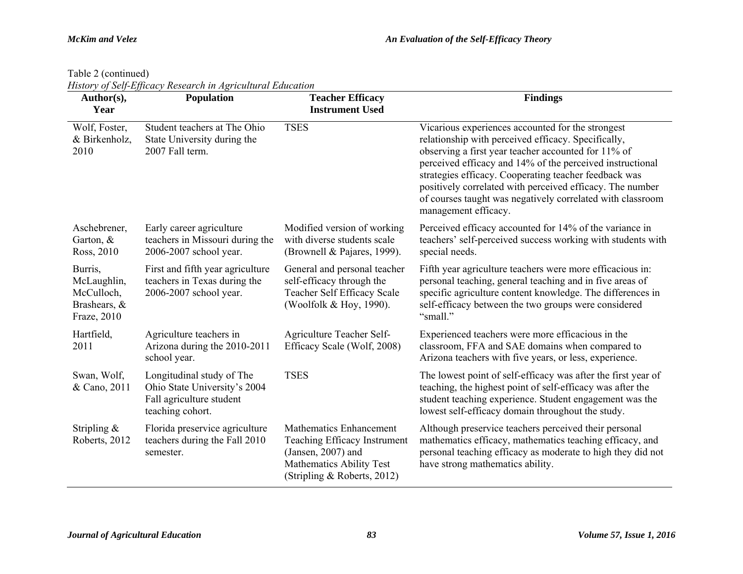Table 2 (continued)

|  |  |  | History of Self-Efficacy Research in Agricultural Education |
|--|--|--|-------------------------------------------------------------|

| Author(s),<br>Year                                                  | Population                                                                                                | <b>Teacher Efficacy</b><br><b>Instrument Used</b>                                                                                                 | <b>Findings</b>                                                                                                                                                                                                                                                                                                                                                                                                                          |
|---------------------------------------------------------------------|-----------------------------------------------------------------------------------------------------------|---------------------------------------------------------------------------------------------------------------------------------------------------|------------------------------------------------------------------------------------------------------------------------------------------------------------------------------------------------------------------------------------------------------------------------------------------------------------------------------------------------------------------------------------------------------------------------------------------|
| Wolf, Foster,<br>& Birkenholz,<br>2010                              | Student teachers at The Ohio<br>State University during the<br>2007 Fall term.                            | <b>TSES</b>                                                                                                                                       | Vicarious experiences accounted for the strongest<br>relationship with perceived efficacy. Specifically,<br>observing a first year teacher accounted for 11% of<br>perceived efficacy and 14% of the perceived instructional<br>strategies efficacy. Cooperating teacher feedback was<br>positively correlated with perceived efficacy. The number<br>of courses taught was negatively correlated with classroom<br>management efficacy. |
| Aschebrener,<br>Garton, &<br>Ross, 2010                             | Early career agriculture<br>teachers in Missouri during the<br>2006-2007 school year.                     | Modified version of working<br>with diverse students scale<br>(Brownell & Pajares, 1999).                                                         | Perceived efficacy accounted for 14% of the variance in<br>teachers' self-perceived success working with students with<br>special needs.                                                                                                                                                                                                                                                                                                 |
| Burris,<br>McLaughlin,<br>McCulloch,<br>Brashears, &<br>Fraze, 2010 | First and fifth year agriculture<br>teachers in Texas during the<br>2006-2007 school year.                | General and personal teacher<br>self-efficacy through the<br>Teacher Self Efficacy Scale<br>(Woolfolk & Hoy, 1990).                               | Fifth year agriculture teachers were more efficacious in:<br>personal teaching, general teaching and in five areas of<br>specific agriculture content knowledge. The differences in<br>self-efficacy between the two groups were considered<br>"small."                                                                                                                                                                                  |
| Hartfield,<br>2011                                                  | Agriculture teachers in<br>Arizona during the 2010-2011<br>school year.                                   | Agriculture Teacher Self-<br>Efficacy Scale (Wolf, 2008)                                                                                          | Experienced teachers were more efficacious in the<br>classroom, FFA and SAE domains when compared to<br>Arizona teachers with five years, or less, experience.                                                                                                                                                                                                                                                                           |
| Swan, Wolf,<br>& Cano, 2011                                         | Longitudinal study of The<br>Ohio State University's 2004<br>Fall agriculture student<br>teaching cohort. | <b>TSES</b>                                                                                                                                       | The lowest point of self-efficacy was after the first year of<br>teaching, the highest point of self-efficacy was after the<br>student teaching experience. Student engagement was the<br>lowest self-efficacy domain throughout the study.                                                                                                                                                                                              |
| Stripling $\&$<br>Roberts, 2012                                     | Florida preservice agriculture<br>teachers during the Fall 2010<br>semester.                              | <b>Mathematics Enhancement</b><br>Teaching Efficacy Instrument<br>$(Jansen, 2007)$ and<br>Mathematics Ability Test<br>(Stripling & Roberts, 2012) | Although preservice teachers perceived their personal<br>mathematics efficacy, mathematics teaching efficacy, and<br>personal teaching efficacy as moderate to high they did not<br>have strong mathematics ability.                                                                                                                                                                                                                     |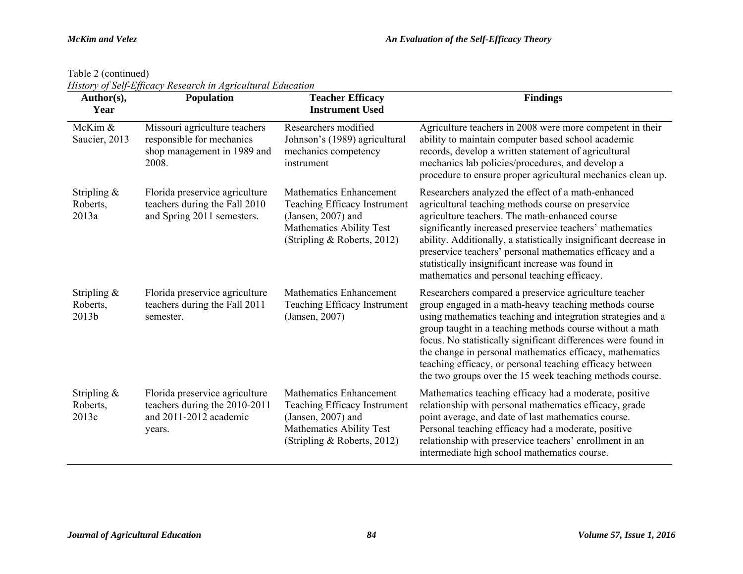Table 2 (continued)

| Author(s),<br>Year                  | History of Belf-Efficacy Research in Agricultural Education<br><b>Population</b>                    | <b>Teacher Efficacy</b><br><b>Instrument Used</b>                                                                                                        | <b>Findings</b>                                                                                                                                                                                                                                                                                                                                                                                                                                                                                |
|-------------------------------------|-----------------------------------------------------------------------------------------------------|----------------------------------------------------------------------------------------------------------------------------------------------------------|------------------------------------------------------------------------------------------------------------------------------------------------------------------------------------------------------------------------------------------------------------------------------------------------------------------------------------------------------------------------------------------------------------------------------------------------------------------------------------------------|
| McKim &<br>Saucier, 2013            | Missouri agriculture teachers<br>responsible for mechanics<br>shop management in 1989 and<br>2008.  | Researchers modified<br>Johnson's (1989) agricultural<br>mechanics competency<br>instrument                                                              | Agriculture teachers in 2008 were more competent in their<br>ability to maintain computer based school academic<br>records, develop a written statement of agricultural<br>mechanics lab policies/procedures, and develop a<br>procedure to ensure proper agricultural mechanics clean up.                                                                                                                                                                                                     |
| Stripling $\&$<br>Roberts,<br>2013a | Florida preservice agriculture<br>teachers during the Fall 2010<br>and Spring 2011 semesters.       | <b>Mathematics Enhancement</b><br>Teaching Efficacy Instrument<br>$(Jansen, 2007)$ and<br>Mathematics Ability Test<br>(Stripling & Roberts, 2012)        | Researchers analyzed the effect of a math-enhanced<br>agricultural teaching methods course on preservice<br>agriculture teachers. The math-enhanced course<br>significantly increased preservice teachers' mathematics<br>ability. Additionally, a statistically insignificant decrease in<br>preservice teachers' personal mathematics efficacy and a<br>statistically insignificant increase was found in<br>mathematics and personal teaching efficacy.                                     |
| Stripling $\&$<br>Roberts,<br>2013b | Florida preservice agriculture<br>teachers during the Fall 2011<br>semester.                        | Mathematics Enhancement<br>Teaching Efficacy Instrument<br>(Jansen, 2007)                                                                                | Researchers compared a preservice agriculture teacher<br>group engaged in a math-heavy teaching methods course<br>using mathematics teaching and integration strategies and a<br>group taught in a teaching methods course without a math<br>focus. No statistically significant differences were found in<br>the change in personal mathematics efficacy, mathematics<br>teaching efficacy, or personal teaching efficacy between<br>the two groups over the 15 week teaching methods course. |
| Stripling $\&$<br>Roberts,<br>2013c | Florida preservice agriculture<br>teachers during the 2010-2011<br>and 2011-2012 academic<br>years. | <b>Mathematics Enhancement</b><br>Teaching Efficacy Instrument<br>$(Jansen, 2007)$ and<br><b>Mathematics Ability Test</b><br>(Stripling & Roberts, 2012) | Mathematics teaching efficacy had a moderate, positive<br>relationship with personal mathematics efficacy, grade<br>point average, and date of last mathematics course.<br>Personal teaching efficacy had a moderate, positive<br>relationship with preservice teachers' enrollment in an<br>intermediate high school mathematics course.                                                                                                                                                      |

*History of Self-Efficacy Research in Agricultural Education*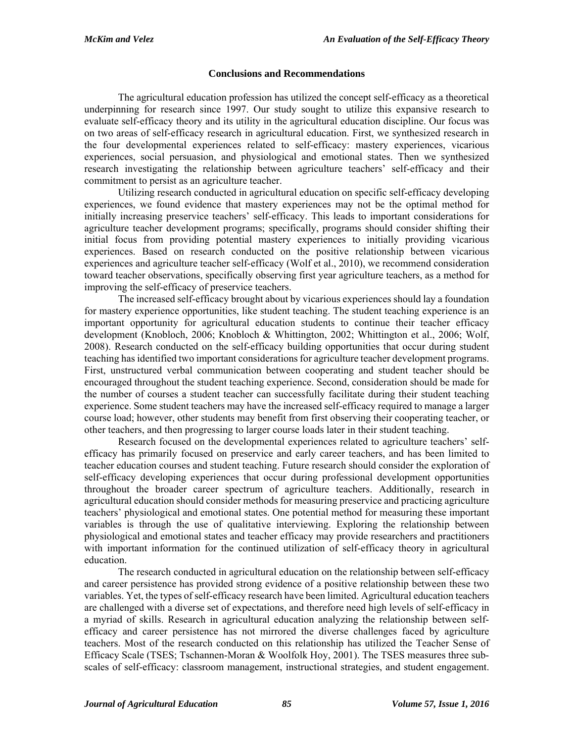## **Conclusions and Recommendations**

 The agricultural education profession has utilized the concept self-efficacy as a theoretical underpinning for research since 1997. Our study sought to utilize this expansive research to evaluate self-efficacy theory and its utility in the agricultural education discipline. Our focus was on two areas of self-efficacy research in agricultural education. First, we synthesized research in the four developmental experiences related to self-efficacy: mastery experiences, vicarious experiences, social persuasion, and physiological and emotional states. Then we synthesized research investigating the relationship between agriculture teachers' self-efficacy and their commitment to persist as an agriculture teacher.

 Utilizing research conducted in agricultural education on specific self-efficacy developing experiences, we found evidence that mastery experiences may not be the optimal method for initially increasing preservice teachers' self-efficacy. This leads to important considerations for agriculture teacher development programs; specifically, programs should consider shifting their initial focus from providing potential mastery experiences to initially providing vicarious experiences. Based on research conducted on the positive relationship between vicarious experiences and agriculture teacher self-efficacy (Wolf et al., 2010), we recommend consideration toward teacher observations, specifically observing first year agriculture teachers, as a method for improving the self-efficacy of preservice teachers.

 The increased self-efficacy brought about by vicarious experiences should lay a foundation for mastery experience opportunities, like student teaching. The student teaching experience is an important opportunity for agricultural education students to continue their teacher efficacy development (Knobloch, 2006; Knobloch & Whittington, 2002; Whittington et al., 2006; Wolf, 2008). Research conducted on the self-efficacy building opportunities that occur during student teaching has identified two important considerations for agriculture teacher development programs. First, unstructured verbal communication between cooperating and student teacher should be encouraged throughout the student teaching experience. Second, consideration should be made for the number of courses a student teacher can successfully facilitate during their student teaching experience. Some student teachers may have the increased self-efficacy required to manage a larger course load; however, other students may benefit from first observing their cooperating teacher, or other teachers, and then progressing to larger course loads later in their student teaching.

 Research focused on the developmental experiences related to agriculture teachers' selfefficacy has primarily focused on preservice and early career teachers, and has been limited to teacher education courses and student teaching. Future research should consider the exploration of self-efficacy developing experiences that occur during professional development opportunities throughout the broader career spectrum of agriculture teachers. Additionally, research in agricultural education should consider methods for measuring preservice and practicing agriculture teachers' physiological and emotional states. One potential method for measuring these important variables is through the use of qualitative interviewing. Exploring the relationship between physiological and emotional states and teacher efficacy may provide researchers and practitioners with important information for the continued utilization of self-efficacy theory in agricultural education.

 The research conducted in agricultural education on the relationship between self-efficacy and career persistence has provided strong evidence of a positive relationship between these two variables. Yet, the types of self-efficacy research have been limited. Agricultural education teachers are challenged with a diverse set of expectations, and therefore need high levels of self-efficacy in a myriad of skills. Research in agricultural education analyzing the relationship between selfefficacy and career persistence has not mirrored the diverse challenges faced by agriculture teachers. Most of the research conducted on this relationship has utilized the Teacher Sense of Efficacy Scale (TSES; Tschannen-Moran & Woolfolk Hoy, 2001). The TSES measures three subscales of self-efficacy: classroom management, instructional strategies, and student engagement.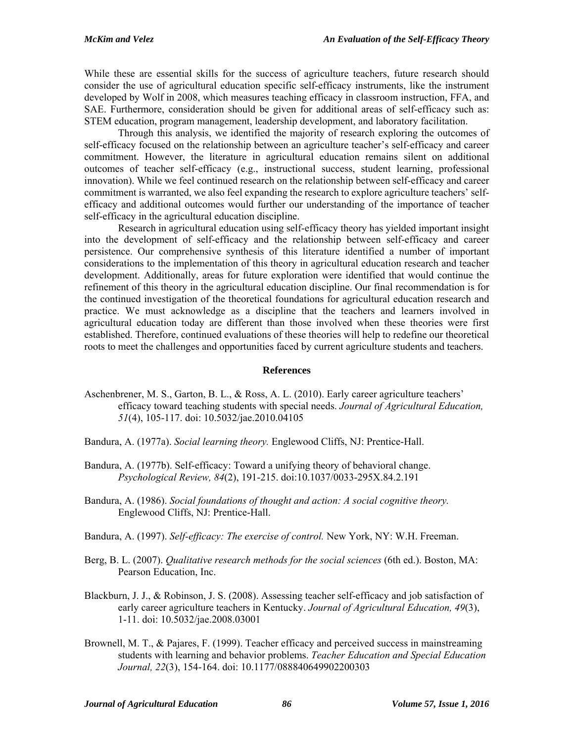While these are essential skills for the success of agriculture teachers, future research should consider the use of agricultural education specific self-efficacy instruments, like the instrument developed by Wolf in 2008, which measures teaching efficacy in classroom instruction, FFA, and SAE. Furthermore, consideration should be given for additional areas of self-efficacy such as: STEM education, program management, leadership development, and laboratory facilitation.

 Through this analysis, we identified the majority of research exploring the outcomes of self-efficacy focused on the relationship between an agriculture teacher's self-efficacy and career commitment. However, the literature in agricultural education remains silent on additional outcomes of teacher self-efficacy (e.g., instructional success, student learning, professional innovation). While we feel continued research on the relationship between self-efficacy and career commitment is warranted, we also feel expanding the research to explore agriculture teachers' selfefficacy and additional outcomes would further our understanding of the importance of teacher self-efficacy in the agricultural education discipline.

 Research in agricultural education using self-efficacy theory has yielded important insight into the development of self-efficacy and the relationship between self-efficacy and career persistence. Our comprehensive synthesis of this literature identified a number of important considerations to the implementation of this theory in agricultural education research and teacher development. Additionally, areas for future exploration were identified that would continue the refinement of this theory in the agricultural education discipline. Our final recommendation is for the continued investigation of the theoretical foundations for agricultural education research and practice. We must acknowledge as a discipline that the teachers and learners involved in agricultural education today are different than those involved when these theories were first established. Therefore, continued evaluations of these theories will help to redefine our theoretical roots to meet the challenges and opportunities faced by current agriculture students and teachers.

## **References**

- Aschenbrener, M. S., Garton, B. L., & Ross, A. L. (2010). Early career agriculture teachers' efficacy toward teaching students with special needs. *Journal of Agricultural Education, 51*(4), 105-117. doi: 10.5032/jae.2010.04105
- Bandura, A. (1977a). *Social learning theory.* Englewood Cliffs, NJ: Prentice-Hall.
- Bandura, A. (1977b). Self-efficacy: Toward a unifying theory of behavioral change. *Psychological Review, 84*(2), 191-215. doi:10.1037/0033-295X.84.2.191
- Bandura, A. (1986). *Social foundations of thought and action: A social cognitive theory.*  Englewood Cliffs, NJ: Prentice-Hall.
- Bandura, A. (1997). *Self-efficacy: The exercise of control.* New York, NY: W.H. Freeman.
- Berg, B. L. (2007). *Qualitative research methods for the social sciences* (6th ed.). Boston, MA: Pearson Education, Inc.
- Blackburn, J. J., & Robinson, J. S. (2008). Assessing teacher self-efficacy and job satisfaction of early career agriculture teachers in Kentucky. *Journal of Agricultural Education, 49*(3), 1-11. doi: 10.5032/jae.2008.03001
- Brownell, M. T., & Pajares, F. (1999). Teacher efficacy and perceived success in mainstreaming students with learning and behavior problems. *Teacher Education and Special Education Journal, 22*(3), 154-164. doi: 10.1177/088840649902200303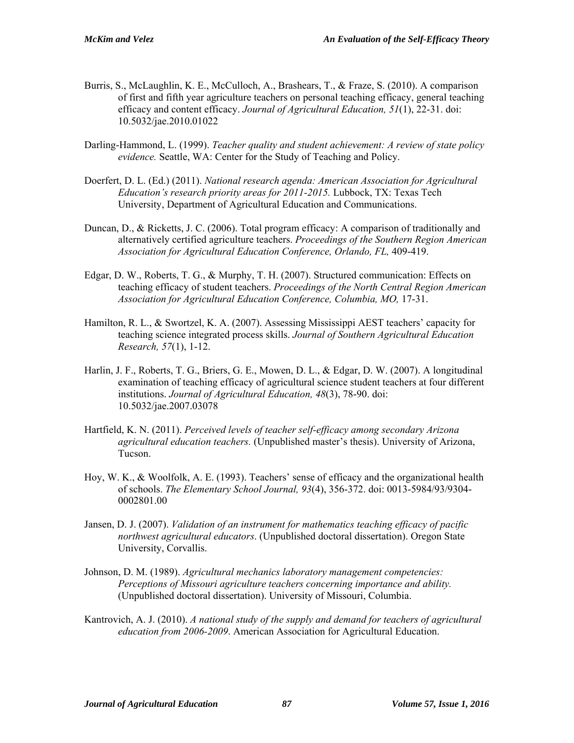- Burris, S., McLaughlin, K. E., McCulloch, A., Brashears, T., & Fraze, S. (2010). A comparison of first and fifth year agriculture teachers on personal teaching efficacy, general teaching efficacy and content efficacy. *Journal of Agricultural Education, 51*(1), 22-31. doi: 10.5032/jae.2010.01022
- Darling-Hammond, L. (1999). *Teacher quality and student achievement: A review of state policy evidence.* Seattle, WA: Center for the Study of Teaching and Policy.
- Doerfert, D. L. (Ed.) (2011). *National research agenda: American Association for Agricultural Education's research priority areas for 2011-2015.* Lubbock, TX: Texas Tech University, Department of Agricultural Education and Communications.
- Duncan, D., & Ricketts, J. C. (2006). Total program efficacy: A comparison of traditionally and alternatively certified agriculture teachers. *Proceedings of the Southern Region American Association for Agricultural Education Conference, Orlando, FL,* 409-419.
- Edgar, D. W., Roberts, T. G., & Murphy, T. H. (2007). Structured communication: Effects on teaching efficacy of student teachers. *Proceedings of the North Central Region American Association for Agricultural Education Conference, Columbia, MO,* 17-31.
- Hamilton, R. L., & Swortzel, K. A. (2007). Assessing Mississippi AEST teachers' capacity for teaching science integrated process skills. *Journal of Southern Agricultural Education Research, 57*(1), 1-12.
- Harlin, J. F., Roberts, T. G., Briers, G. E., Mowen, D. L., & Edgar, D. W. (2007). A longitudinal examination of teaching efficacy of agricultural science student teachers at four different institutions. *Journal of Agricultural Education, 48*(3), 78-90. doi: 10.5032/jae.2007.03078
- Hartfield, K. N. (2011). *Perceived levels of teacher self-efficacy among secondary Arizona agricultural education teachers.* (Unpublished master's thesis). University of Arizona, Tucson.
- Hoy, W. K., & Woolfolk, A. E. (1993). Teachers' sense of efficacy and the organizational health of schools. *The Elementary School Journal, 93*(4), 356-372. doi: 0013-5984/93/9304- 0002801.00
- Jansen, D. J. (2007). *Validation of an instrument for mathematics teaching efficacy of pacific northwest agricultural educators*. (Unpublished doctoral dissertation). Oregon State University, Corvallis.
- Johnson, D. M. (1989). *Agricultural mechanics laboratory management competencies: Perceptions of Missouri agriculture teachers concerning importance and ability.* (Unpublished doctoral dissertation). University of Missouri, Columbia.
- Kantrovich, A. J. (2010). *A national study of the supply and demand for teachers of agricultural education from 2006-2009*. American Association for Agricultural Education.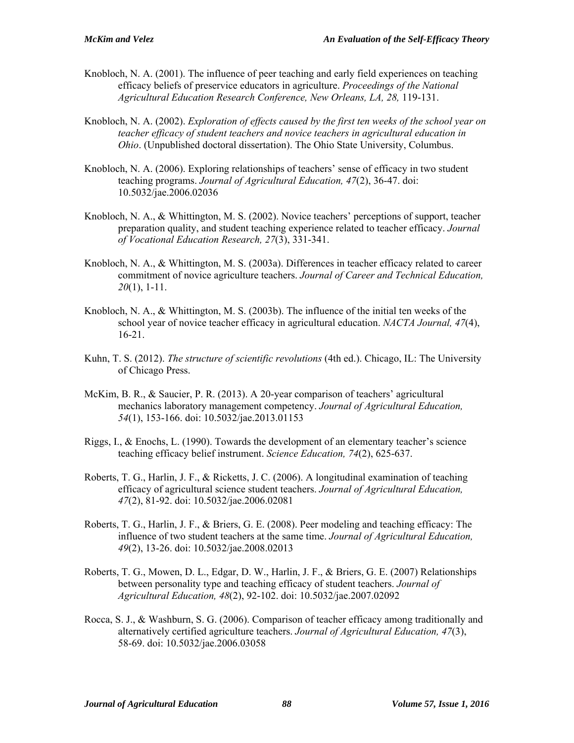- Knobloch, N. A. (2001). The influence of peer teaching and early field experiences on teaching efficacy beliefs of preservice educators in agriculture. *Proceedings of the National Agricultural Education Research Conference, New Orleans, LA, 28,* 119-131.
- Knobloch, N. A. (2002). *Exploration of effects caused by the first ten weeks of the school year on teacher efficacy of student teachers and novice teachers in agricultural education in Ohio*. (Unpublished doctoral dissertation). The Ohio State University, Columbus.
- Knobloch, N. A. (2006). Exploring relationships of teachers' sense of efficacy in two student teaching programs. *Journal of Agricultural Education, 47*(2), 36-47. doi: 10.5032/jae.2006.02036
- Knobloch, N. A., & Whittington, M. S. (2002). Novice teachers' perceptions of support, teacher preparation quality, and student teaching experience related to teacher efficacy. *Journal of Vocational Education Research, 27*(3), 331-341.
- Knobloch, N. A., & Whittington, M. S. (2003a). Differences in teacher efficacy related to career commitment of novice agriculture teachers. *Journal of Career and Technical Education, 20*(1), 1-11.
- Knobloch, N. A., & Whittington, M. S. (2003b). The influence of the initial ten weeks of the school year of novice teacher efficacy in agricultural education. *NACTA Journal, 47*(4), 16-21.
- Kuhn, T. S. (2012). *The structure of scientific revolutions* (4th ed.). Chicago, IL: The University of Chicago Press.
- McKim, B. R., & Saucier, P. R. (2013). A 20-year comparison of teachers' agricultural mechanics laboratory management competency. *Journal of Agricultural Education, 54*(1), 153-166. doi: 10.5032/jae.2013.01153
- Riggs, I., & Enochs, L. (1990). Towards the development of an elementary teacher's science teaching efficacy belief instrument. *Science Education, 74*(2), 625-637.
- Roberts, T. G., Harlin, J. F., & Ricketts, J. C. (2006). A longitudinal examination of teaching efficacy of agricultural science student teachers. *Journal of Agricultural Education, 47*(2), 81-92. doi: 10.5032/jae.2006.02081
- Roberts, T. G., Harlin, J. F., & Briers, G. E. (2008). Peer modeling and teaching efficacy: The influence of two student teachers at the same time. *Journal of Agricultural Education, 49*(2), 13-26. doi: 10.5032/jae.2008.02013
- Roberts, T. G., Mowen, D. L., Edgar, D. W., Harlin, J. F., & Briers, G. E. (2007) Relationships between personality type and teaching efficacy of student teachers. *Journal of Agricultural Education, 48*(2), 92-102. doi: 10.5032/jae.2007.02092
- Rocca, S. J., & Washburn, S. G. (2006). Comparison of teacher efficacy among traditionally and alternatively certified agriculture teachers. *Journal of Agricultural Education, 47*(3), 58-69. doi: 10.5032/jae.2006.03058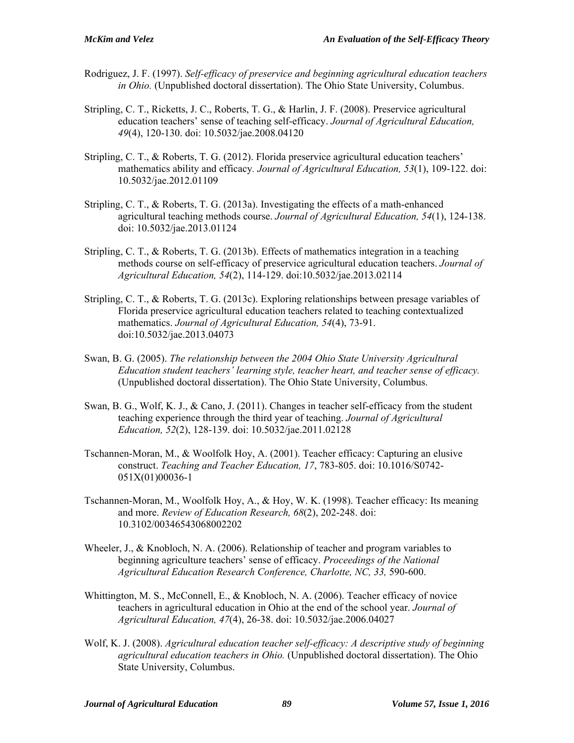- Rodriguez, J. F. (1997). *Self-efficacy of preservice and beginning agricultural education teachers in Ohio.* (Unpublished doctoral dissertation). The Ohio State University, Columbus.
- Stripling, C. T., Ricketts, J. C., Roberts, T. G., & Harlin, J. F. (2008). Preservice agricultural education teachers' sense of teaching self-efficacy. *Journal of Agricultural Education, 49*(4), 120-130. doi: 10.5032/jae.2008.04120
- Stripling, C. T., & Roberts, T. G. (2012). Florida preservice agricultural education teachers' mathematics ability and efficacy*. Journal of Agricultural Education, 53*(1), 109-122. doi: 10.5032/jae.2012.01109
- Stripling, C. T., & Roberts, T. G. (2013a). Investigating the effects of a math-enhanced agricultural teaching methods course. *Journal of Agricultural Education, 54*(1), 124-138. doi: 10.5032/jae.2013.01124
- Stripling, C. T., & Roberts, T. G. (2013b). Effects of mathematics integration in a teaching methods course on self-efficacy of preservice agricultural education teachers. *Journal of Agricultural Education, 54*(2), 114-129. doi:10.5032/jae.2013.02114
- Stripling, C. T., & Roberts, T. G. (2013c). Exploring relationships between presage variables of Florida preservice agricultural education teachers related to teaching contextualized mathematics. *Journal of Agricultural Education, 54*(4), 73-91. doi:10.5032/jae.2013.04073
- Swan, B. G. (2005). *The relationship between the 2004 Ohio State University Agricultural Education student teachers' learning style, teacher heart, and teacher sense of efficacy.* (Unpublished doctoral dissertation). The Ohio State University, Columbus.
- Swan, B. G., Wolf, K. J., & Cano, J. (2011). Changes in teacher self-efficacy from the student teaching experience through the third year of teaching. *Journal of Agricultural Education, 52*(2), 128-139. doi: 10.5032/jae.2011.02128
- Tschannen-Moran, M., & Woolfolk Hoy, A. (2001). Teacher efficacy: Capturing an elusive construct. *Teaching and Teacher Education, 17*, 783-805. doi: 10.1016/S0742- 051X(01)00036-1
- Tschannen-Moran, M., Woolfolk Hoy, A., & Hoy, W. K. (1998). Teacher efficacy: Its meaning and more. *Review of Education Research, 68*(2), 202-248. doi: 10.3102/00346543068002202
- Wheeler, J., & Knobloch, N. A. (2006). Relationship of teacher and program variables to beginning agriculture teachers' sense of efficacy. *Proceedings of the National Agricultural Education Research Conference, Charlotte, NC, 33,* 590-600.
- Whittington, M. S., McConnell, E., & Knobloch, N. A. (2006). Teacher efficacy of novice teachers in agricultural education in Ohio at the end of the school year. *Journal of Agricultural Education, 47*(4), 26-38. doi: 10.5032/jae.2006.04027
- Wolf, K. J. (2008). *Agricultural education teacher self-efficacy: A descriptive study of beginning agricultural education teachers in Ohio.* (Unpublished doctoral dissertation). The Ohio State University, Columbus.